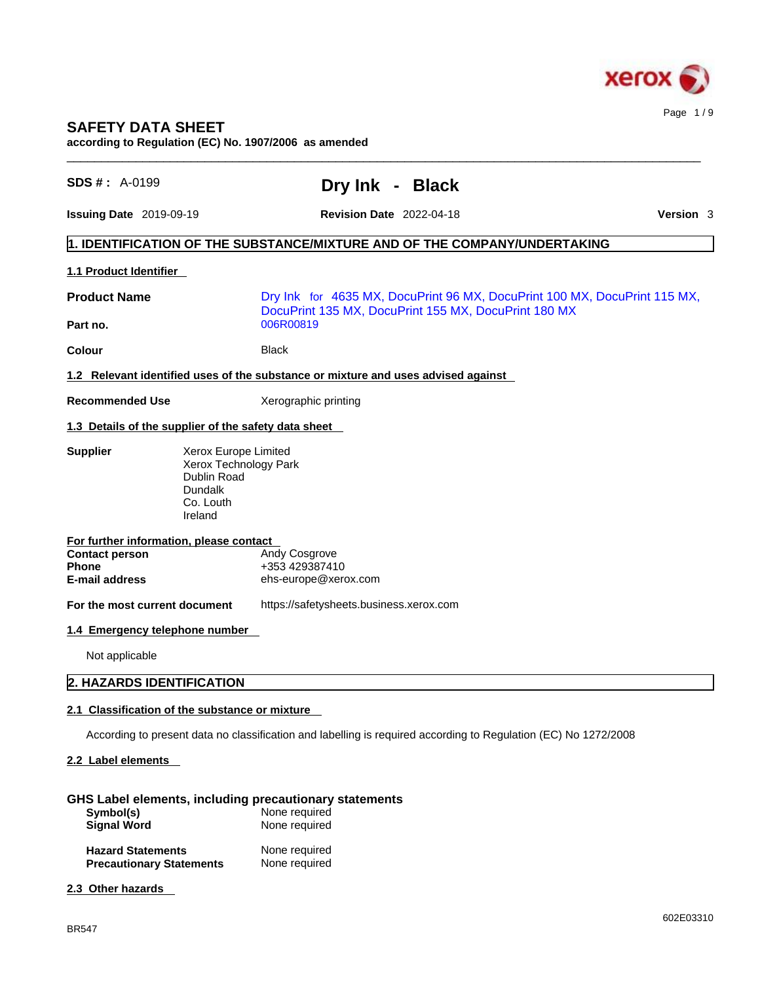

# **SAFETY DATA SHEET**

**according to Regulation (EC) No. 1907/2006 as amended** 

| <b>SDS #: A-0199</b>                                        | Dry Ink - Black                                                                                                 |  |
|-------------------------------------------------------------|-----------------------------------------------------------------------------------------------------------------|--|
| <b>Issuing Date 2019-09-19</b>                              | Version 3<br><b>Revision Date 2022-04-18</b>                                                                    |  |
|                                                             | 1. IDENTIFICATION OF THE SUBSTANCE/MIXTURE AND OF THE COMPANY/UNDERTAKING                                       |  |
| 1.1 Product Identifier                                      |                                                                                                                 |  |
| <b>Product Name</b>                                         | Dry Ink for 4635 MX, DocuPrint 96 MX, DocuPrint 100 MX, DocuPrint 115 MX,                                       |  |
| Part no.                                                    | DocuPrint 135 MX, DocuPrint 155 MX, DocuPrint 180 MX<br>006R00819                                               |  |
| Colour                                                      | <b>Black</b>                                                                                                    |  |
|                                                             | 1.2 Relevant identified uses of the substance or mixture and uses advised against                               |  |
| <b>Recommended Use</b>                                      | Xerographic printing                                                                                            |  |
|                                                             | 1.3 Details of the supplier of the safety data sheet                                                            |  |
| <b>Supplier</b>                                             | Xerox Europe Limited<br>Xerox Technology Park<br>Dublin Road<br><b>Dundalk</b><br>Co. Louth<br>Ireland          |  |
| For further information, please contact                     |                                                                                                                 |  |
| <b>Contact person</b><br>Phone                              | Andy Cosgrove<br>+353 429387410                                                                                 |  |
| <b>E-mail address</b>                                       | ehs-europe@xerox.com                                                                                            |  |
| For the most current document                               | https://safetysheets.business.xerox.com                                                                         |  |
| 1.4 Emergency telephone number                              |                                                                                                                 |  |
| Not applicable                                              |                                                                                                                 |  |
| 2. HAZARDS IDENTIFICATION                                   |                                                                                                                 |  |
|                                                             | 2.1 Classification of the substance or mixture                                                                  |  |
|                                                             | According to present data no classification and labelling is required according to Regulation (EC) No 1272/2008 |  |
| 2.2 Label elements                                          |                                                                                                                 |  |
| Symbol(s)<br><b>Signal Word</b>                             | GHS Label elements, including precautionary statements<br>None required<br>None required                        |  |
| <b>Hazard Statements</b><br><b>Precautionary Statements</b> | None required<br>None required                                                                                  |  |
| 2.3 Other hazards                                           |                                                                                                                 |  |
|                                                             |                                                                                                                 |  |

 $\_$  ,  $\_$  ,  $\_$  ,  $\_$  ,  $\_$  ,  $\_$  ,  $\_$  ,  $\_$  ,  $\_$  ,  $\_$  ,  $\_$  ,  $\_$  ,  $\_$  ,  $\_$  ,  $\_$  ,  $\_$  ,  $\_$  ,  $\_$  ,  $\_$  ,  $\_$  ,  $\_$  ,  $\_$  ,  $\_$  ,  $\_$  ,  $\_$  ,  $\_$  ,  $\_$  ,  $\_$  ,  $\_$  ,  $\_$  ,  $\_$  ,  $\_$  ,  $\_$  ,  $\_$  ,  $\_$  ,  $\_$  ,  $\_$  ,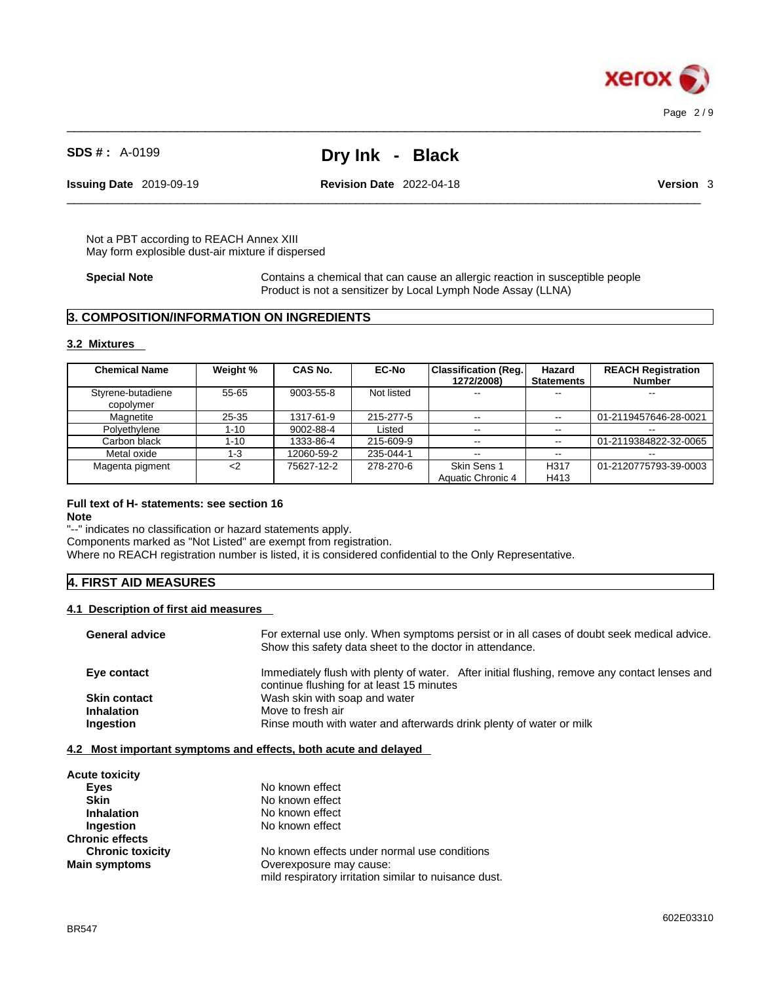

**Issuing Date** 2019-09-19 **Revision Date** 2022-04-18 **Version** 3

 $\_$  ,  $\_$  ,  $\_$  ,  $\_$  ,  $\_$  ,  $\_$  ,  $\_$  ,  $\_$  ,  $\_$  ,  $\_$  ,  $\_$  ,  $\_$  ,  $\_$  ,  $\_$  ,  $\_$  ,  $\_$  ,  $\_$  ,  $\_$  ,  $\_$  ,  $\_$  ,  $\_$  ,  $\_$  ,  $\_$  ,  $\_$  ,  $\_$  ,  $\_$  ,  $\_$  ,  $\_$  ,  $\_$  ,  $\_$  ,  $\_$  ,  $\_$  ,  $\_$  ,  $\_$  ,  $\_$  ,  $\_$  ,  $\_$  ,

Not a PBT according to REACH Annex XIII May form explosible dust-air mixture if dispersed

**Special Note** Contains a chemical that can cause an allergic reaction in susceptible people Product is not a sensitizer by Local Lymph Node Assay (LLNA)

 $\_$  ,  $\_$  ,  $\_$  ,  $\_$  ,  $\_$  ,  $\_$  ,  $\_$  ,  $\_$  ,  $\_$  ,  $\_$  ,  $\_$  ,  $\_$  ,  $\_$  ,  $\_$  ,  $\_$  ,  $\_$  ,  $\_$  ,  $\_$  ,  $\_$  ,  $\_$  ,  $\_$  ,  $\_$  ,  $\_$  ,  $\_$  ,  $\_$  ,  $\_$  ,  $\_$  ,  $\_$  ,  $\_$  ,  $\_$  ,  $\_$  ,  $\_$  ,  $\_$  ,  $\_$  ,  $\_$  ,  $\_$  ,  $\_$  ,

### **3. COMPOSITION/INFORMATION ON INGREDIENTS**

#### **3.2 Mixtures**

| <b>Chemical Name</b>           | Weight %  | <b>CAS No.</b> | <b>EC-No</b> | <b>Classification (Reg.</b><br>1272/2008) | Hazard<br><b>Statements</b> | <b>REACH Registration</b><br><b>Number</b> |
|--------------------------------|-----------|----------------|--------------|-------------------------------------------|-----------------------------|--------------------------------------------|
| Styrene-butadiene<br>copolymer | $55 - 65$ | 9003-55-8      | Not listed   | $- -$                                     |                             | $- -$                                      |
| Magnetite                      | $25 - 35$ | 1317-61-9      | 215-277-5    | --                                        | $\sim$ $\sim$               | 01-2119457646-28-0021                      |
| Polyethylene                   | $1 - 10$  | 9002-88-4      | Listed       | $\sim$ $\sim$                             | $\sim$                      | $- -$                                      |
| Carbon black                   | 1-10      | 1333-86-4      | 215-609-9    | $- -$                                     | $\sim$ $\sim$               | 01-2119384822-32-0065                      |
| Metal oxide                    | $1 - 3$   | 12060-59-2     | 235-044-1    | $- -$                                     | $\sim$ $\sim$               |                                            |
| Magenta pigment                | $<$ 2     | 75627-12-2     | 278-270-6    | Skin Sens 1                               | H <sub>317</sub>            | 01-2120775793-39-0003                      |
|                                |           |                |              | Aquatic Chronic 4                         | H413                        |                                            |

#### **Full text of H- statements: see section 16**

**Note**

"--" indicates no classification or hazard statements apply. Components marked as "Not Listed" are exempt from registration. Where no REACH registration number is listed, it is considered confidential to the Only Representative.

#### **4. FIRST AID MEASURES**

#### **4.1 Description of first aid measures**

| <b>General advice</b> | For external use only. When symptoms persist or in all cases of doubt seek medical advice.<br>Show this safety data sheet to the doctor in attendance. |
|-----------------------|--------------------------------------------------------------------------------------------------------------------------------------------------------|
| Eye contact           | Immediately flush with plenty of water. After initial flushing, remove any contact lenses and<br>continue flushing for at least 15 minutes             |
| <b>Skin contact</b>   | Wash skin with soap and water                                                                                                                          |
| <b>Inhalation</b>     | Move to fresh air                                                                                                                                      |
| Ingestion             | Rinse mouth with water and afterwards drink plenty of water or milk                                                                                    |
|                       |                                                                                                                                                        |

#### **4.2 Most important symptoms and effects, both acute and delayed**

| <b>Acute toxicity</b>   |                                                       |
|-------------------------|-------------------------------------------------------|
| Eyes                    | No known effect                                       |
| <b>Skin</b>             | No known effect                                       |
| <b>Inhalation</b>       | No known effect                                       |
| Ingestion               | No known effect                                       |
| <b>Chronic effects</b>  |                                                       |
| <b>Chronic toxicity</b> | No known effects under normal use conditions          |
| <b>Main symptoms</b>    | Overexposure may cause:                               |
|                         | mild respiratory irritation similar to nuisance dust. |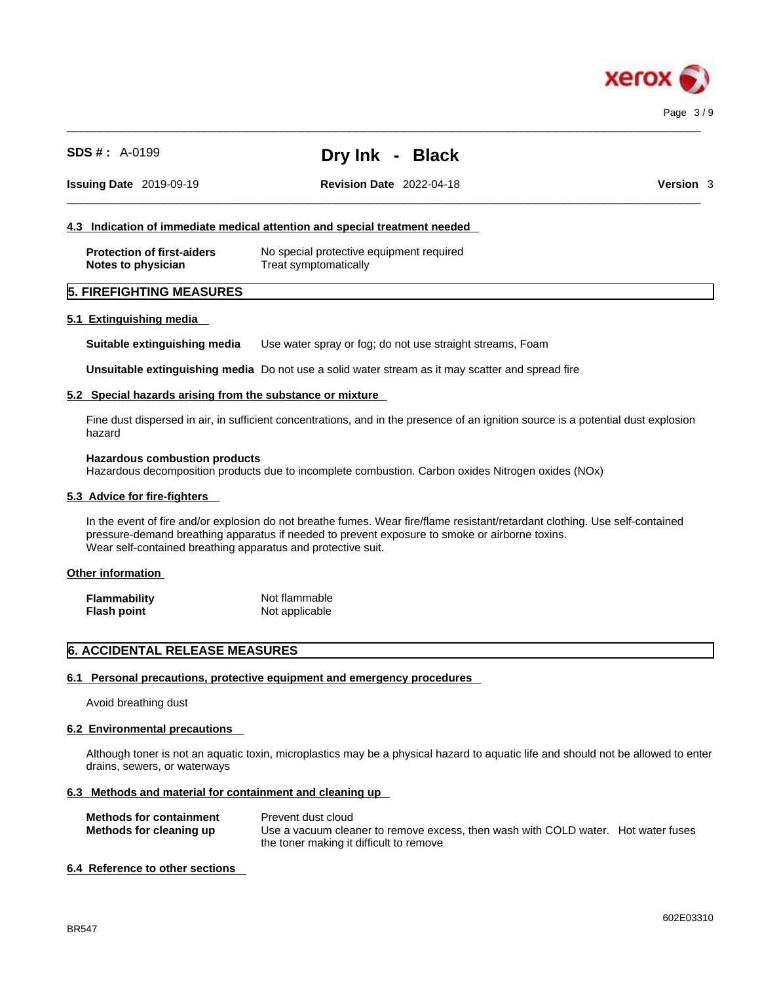

| SDS # : ˈ | A-0199 |
|-----------|--------|
|-----------|--------|

**Issuing Date** 2019-09-19 **Revision Date** 2022-04-18 **Version** 3

**SDS # :** A-0199 **Dry Ink - Black**

 $\_$  ,  $\_$  ,  $\_$  ,  $\_$  ,  $\_$  ,  $\_$  ,  $\_$  ,  $\_$  ,  $\_$  ,  $\_$  ,  $\_$  ,  $\_$  ,  $\_$  ,  $\_$  ,  $\_$  ,  $\_$  ,  $\_$  ,  $\_$  ,  $\_$  ,  $\_$  ,  $\_$  ,  $\_$  ,  $\_$  ,  $\_$  ,  $\_$  ,  $\_$  ,  $\_$  ,  $\_$  ,  $\_$  ,  $\_$  ,  $\_$  ,  $\_$  ,  $\_$  ,  $\_$  ,  $\_$  ,  $\_$  ,  $\_$  ,

 $\_$  ,  $\_$  ,  $\_$  ,  $\_$  ,  $\_$  ,  $\_$  ,  $\_$  ,  $\_$  ,  $\_$  ,  $\_$  ,  $\_$  ,  $\_$  ,  $\_$  ,  $\_$  ,  $\_$  ,  $\_$  ,  $\_$  ,  $\_$  ,  $\_$  ,  $\_$  ,  $\_$  ,  $\_$  ,  $\_$  ,  $\_$  ,  $\_$  ,  $\_$  ,  $\_$  ,  $\_$  ,  $\_$  ,  $\_$  ,  $\_$  ,  $\_$  ,  $\_$  ,  $\_$  ,  $\_$  ,  $\_$  ,  $\_$  ,

#### **4.3 Indication of immediate medical attention and special treatment needed**

| <b>Protection of first-aiders</b> | No special protective equipment required |
|-----------------------------------|------------------------------------------|
| Notes to physician                | Treat symptomatically                    |

#### **5. FIREFIGHTING MEASURES**

#### **5.1 Extinguishing media**

**Suitable extinguishing media** Use water spray or fog; do not use straight streams, Foam

**Unsuitable extinguishing media** Do not use a solid water stream as it may scatterand spread fire

#### **5.2 Special hazards arising from the substance or mixture**

Fine dust dispersed in air, in sufficient concentrations, and in the presence of an ignition source is a potential dust explosion hazard

#### **Hazardous combustion products**

Hazardous decomposition products due to incomplete combustion. Carbon oxides Nitrogen oxides (NOx)

#### **5.3 Advice for fire-fighters**

In the event of fire and/or explosion do not breathe fumes. Wear fire/flame resistant/retardant clothing. Use self-contained pressure-demand breathing apparatus if needed to prevent exposure to smoke or airborne toxins. Wear self-contained breathing apparatus and protective suit.

#### **Other information**

| <b>Flammability</b> | Not flammable  |
|---------------------|----------------|
| <b>Flash point</b>  | Not applicable |

### **6. ACCIDENTAL RELEASE MEASURES**

#### **6.1 Personal precautions, protective equipment and emergency procedures**

Avoid breathing dust

#### **6.2 Environmental precautions**

Although toner is not an aquatic toxin, microplastics may be a physical hazard to aquatic life and should not be allowed to enter drains, sewers, or waterways

#### **6.3 Methods and material for containment and cleaning up**

| <b>Methods for containment</b> | Prevent dust cloud                                                                |  |
|--------------------------------|-----------------------------------------------------------------------------------|--|
| Methods for cleaning up        | Use a vacuum cleaner to remove excess, then wash with COLD water. Hot water fuses |  |
|                                | the toner making it difficult to remove                                           |  |

#### **6.4 Reference to other sections**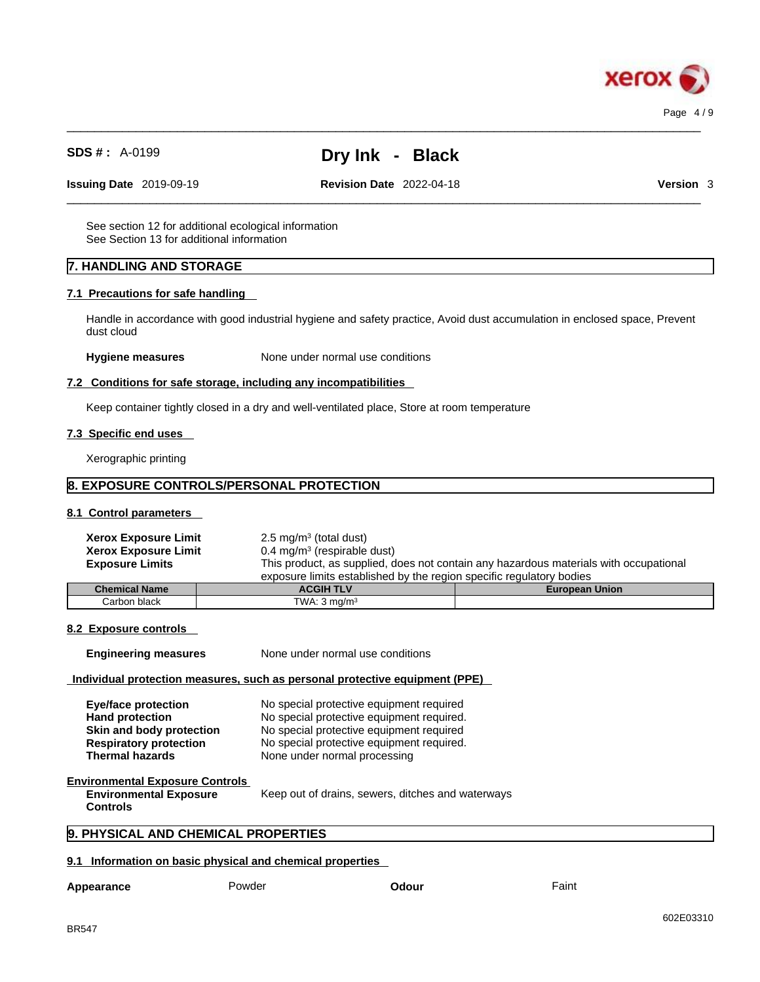

 $\_$  ,  $\_$  ,  $\_$  ,  $\_$  ,  $\_$  ,  $\_$  ,  $\_$  ,  $\_$  ,  $\_$  ,  $\_$  ,  $\_$  ,  $\_$  ,  $\_$  ,  $\_$  ,  $\_$  ,  $\_$  ,  $\_$  ,  $\_$  ,  $\_$  ,  $\_$  ,  $\_$  ,  $\_$  ,  $\_$  ,  $\_$  ,  $\_$  ,  $\_$  ,  $\_$  ,  $\_$  ,  $\_$  ,  $\_$  ,  $\_$  ,  $\_$  ,  $\_$  ,  $\_$  ,  $\_$  ,  $\_$  ,  $\_$  ,

 $\_$  ,  $\_$  ,  $\_$  ,  $\_$  ,  $\_$  ,  $\_$  ,  $\_$  ,  $\_$  ,  $\_$  ,  $\_$  ,  $\_$  ,  $\_$  ,  $\_$  ,  $\_$  ,  $\_$  ,  $\_$  ,  $\_$  ,  $\_$  ,  $\_$  ,  $\_$  ,  $\_$  ,  $\_$  ,  $\_$  ,  $\_$  ,  $\_$  ,  $\_$  ,  $\_$  ,  $\_$  ,  $\_$  ,  $\_$  ,  $\_$  ,  $\_$  ,  $\_$  ,  $\_$  ,  $\_$  ,  $\_$  ,  $\_$  ,

**Issuing Date** 2019-09-19 **Revision Date** 2022-04-18 **Version** 3

See section 12 for additional ecological information See Section 13 for additional information

### **7. HANDLING AND STORAGE**

#### **7.1 Precautions for safe handling**

Handle in accordance with good industrial hygiene and safety practice, Avoid dust accumulation in enclosed space, Prevent dust cloud

#### **Hygiene measures** None under normal use conditions

#### **7.2 Conditions for safe storage, including any incompatibilities**

Keep container tightly closed in a dry and well-ventilated place, Store at room temperature

#### **7.3 Specific end uses**

Xerographic printing

#### **8. EXPOSURE CONTROLS/PERSONAL PROTECTION**

#### **8.1 Control parameters**

| <b>Xerox Exposure Limit</b><br><b>Xerox Exposure Limit</b><br><b>Exposure Limits</b> | $2.5 \text{ mg/m}^3$ (total dust)<br>$0.4 \text{ mg/m}^3$ (respirable dust) | This product, as supplied, does not contain any hazardous materials with occupational |
|--------------------------------------------------------------------------------------|-----------------------------------------------------------------------------|---------------------------------------------------------------------------------------|
|                                                                                      | exposure limits established by the region specific regulatory bodies        |                                                                                       |
| <b>Chemical Name</b>                                                                 | <b>ACGIH TLV</b>                                                            | <b>European Union</b>                                                                 |
| Carbon black                                                                         | TWA: $3 \text{ mg/m}^3$                                                     |                                                                                       |

Keep out of drains, sewers, ditches and waterways

#### **8.2 Exposure controls**

**Engineering measures** None under normal use conditions

#### **Individual protection measures, such as personal protective equipment (PPE)**

| Eye/face protection           | No special protective equipment required  |
|-------------------------------|-------------------------------------------|
| <b>Hand protection</b>        | No special protective equipment required. |
| Skin and body protection      | No special protective equipment required  |
| <b>Respiratory protection</b> | No special protective equipment required. |
| <b>Thermal hazards</b>        | None under normal processing              |

#### **Environmental Exposure Controls Environmental Exposure**

**Controls** 

## **9. PHYSICAL AND CHEMICAL PROPERTIES**

#### **9.1 Information on basic physical and chemical properties**

| Appearance | Powder | Odour | Faint |
|------------|--------|-------|-------|
|            |        |       |       |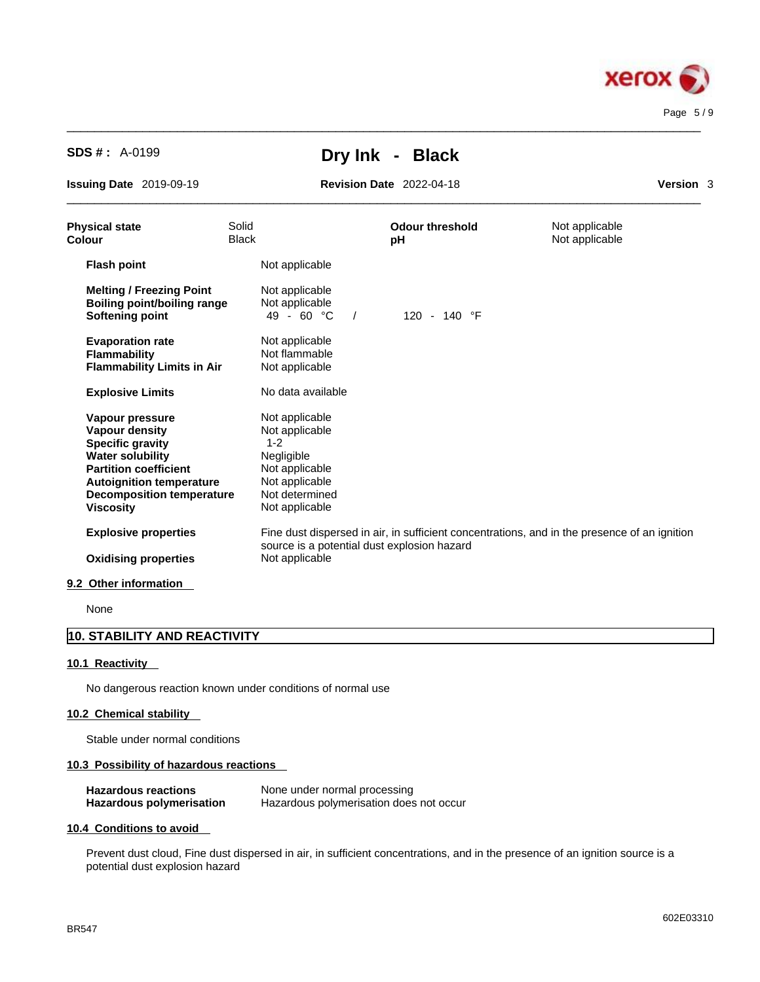

 $\_$  ,  $\_$  ,  $\_$  ,  $\_$  ,  $\_$  ,  $\_$  ,  $\_$  ,  $\_$  ,  $\_$  ,  $\_$  ,  $\_$  ,  $\_$  ,  $\_$  ,  $\_$  ,  $\_$  ,  $\_$  ,  $\_$  ,  $\_$  ,  $\_$  ,  $\_$  ,  $\_$  ,  $\_$  ,  $\_$  ,  $\_$  ,  $\_$  ,  $\_$  ,  $\_$  ,  $\_$  ,  $\_$  ,  $\_$  ,  $\_$  ,  $\_$  ,  $\_$  ,  $\_$  ,  $\_$  ,  $\_$  ,  $\_$  ,

**Issuing Date** 2019-09-19 **Revision Date** 2022-04-18 **Version** 3

 $\_$  ,  $\_$  ,  $\_$  ,  $\_$  ,  $\_$  ,  $\_$  ,  $\_$  ,  $\_$  ,  $\_$  ,  $\_$  ,  $\_$  ,  $\_$  ,  $\_$  ,  $\_$  ,  $\_$  ,  $\_$  ,  $\_$  ,  $\_$  ,  $\_$  ,  $\_$  ,  $\_$  ,  $\_$  ,  $\_$  ,  $\_$  ,  $\_$  ,  $\_$  ,  $\_$  ,  $\_$  ,  $\_$  ,  $\_$  ,  $\_$  ,  $\_$  ,  $\_$  ,  $\_$  ,  $\_$  ,  $\_$  ,  $\_$  ,

| <b>Physical state</b><br>Colour                                                                                                                                                                                    | Solid<br><b>Black</b> |                                                                                                                                   | <b>Odour threshold</b><br>pH                                                                 | Not applicable<br>Not applicable |
|--------------------------------------------------------------------------------------------------------------------------------------------------------------------------------------------------------------------|-----------------------|-----------------------------------------------------------------------------------------------------------------------------------|----------------------------------------------------------------------------------------------|----------------------------------|
| <b>Flash point</b>                                                                                                                                                                                                 |                       | Not applicable                                                                                                                    |                                                                                              |                                  |
| <b>Melting / Freezing Point</b><br><b>Boiling point/boiling range</b><br>Softening point                                                                                                                           |                       | Not applicable<br>Not applicable<br>49 - 60 $^{\circ}$ C<br>$\frac{1}{2}$                                                         | 120 - 140 °F                                                                                 |                                  |
| <b>Evaporation rate</b><br>Flammability<br><b>Flammability Limits in Air</b>                                                                                                                                       |                       | Not applicable<br>Not flammable<br>Not applicable                                                                                 |                                                                                              |                                  |
| <b>Explosive Limits</b>                                                                                                                                                                                            |                       | No data available                                                                                                                 |                                                                                              |                                  |
| Vapour pressure<br>Vapour density<br><b>Specific gravity</b><br><b>Water solubility</b><br><b>Partition coefficient</b><br><b>Autoignition temperature</b><br><b>Decomposition temperature</b><br><b>Viscosity</b> |                       | Not applicable<br>Not applicable<br>$1 - 2$<br>Negligible<br>Not applicable<br>Not applicable<br>Not determined<br>Not applicable |                                                                                              |                                  |
| <b>Explosive properties</b><br><b>Oxidising properties</b>                                                                                                                                                         |                       | source is a potential dust explosion hazard<br>Not applicable                                                                     | Fine dust dispersed in air, in sufficient concentrations, and in the presence of an ignition |                                  |
| 9.2 Other information                                                                                                                                                                                              |                       |                                                                                                                                   |                                                                                              |                                  |
|                                                                                                                                                                                                                    |                       |                                                                                                                                   |                                                                                              |                                  |

None

## **10. STABILITY AND REACTIVITY**

#### **10.1 Reactivity**

No dangerous reaction known under conditions of normal use

#### **10.2 Chemical stability**

Stable under normal conditions

#### **10.3 Possibility of hazardous reactions**

| <b>Hazardous reactions</b> | None under normal processing            |
|----------------------------|-----------------------------------------|
| Hazardous polymerisation   | Hazardous polymerisation does not occur |

#### **10.4 Conditions to avoid**

Prevent dust cloud, Fine dust dispersed in air, in sufficient concentrations, and in the presence of an ignition source is a potential dust explosion hazard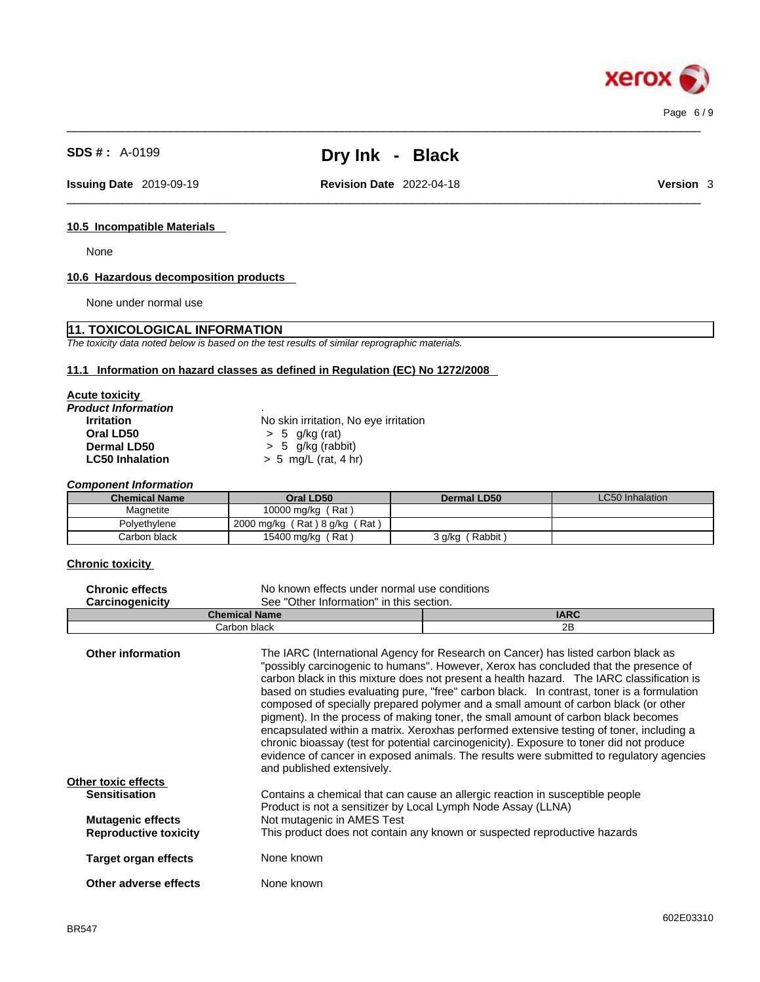$\_$  ,  $\_$  ,  $\_$  ,  $\_$  ,  $\_$  ,  $\_$  ,  $\_$  ,  $\_$  ,  $\_$  ,  $\_$  ,  $\_$  ,  $\_$  ,  $\_$  ,  $\_$  ,  $\_$  ,  $\_$  ,  $\_$  ,  $\_$  ,  $\_$  ,  $\_$  ,  $\_$  ,  $\_$  ,  $\_$  ,  $\_$  ,  $\_$  ,  $\_$  ,  $\_$  ,  $\_$  ,  $\_$  ,  $\_$  ,  $\_$  ,  $\_$  ,  $\_$  ,  $\_$  ,  $\_$  ,  $\_$  ,  $\_$  ,

**Issuing Date** 2019-09-19 **Revision Date** 2022-04-18 **Version** 3

 $\_$  ,  $\_$  ,  $\_$  ,  $\_$  ,  $\_$  ,  $\_$  ,  $\_$  ,  $\_$  ,  $\_$  ,  $\_$  ,  $\_$  ,  $\_$  ,  $\_$  ,  $\_$  ,  $\_$  ,  $\_$  ,  $\_$  ,  $\_$  ,  $\_$  ,  $\_$  ,  $\_$  ,  $\_$  ,  $\_$  ,  $\_$  ,  $\_$  ,  $\_$  ,  $\_$  ,  $\_$  ,  $\_$  ,  $\_$  ,  $\_$  ,  $\_$  ,  $\_$  ,  $\_$  ,  $\_$  ,  $\_$  ,  $\_$  ,

#### **10.5 Incompatible Materials**

None

#### **10.6 Hazardous decomposition products**

None under normal use

#### **11. TOXICOLOGICAL INFORMATION**

*The toxicity data noted below is based on the test results of similar reprographic materials.* 

#### **11.1 Information on hazard classes as defined in Regulation (EC) No 1272/2008**

| <b>Acute toxicity</b> |  |
|-----------------------|--|
|                       |  |

*Product Information* .

**Oral LD50** > 5 g/kg (rat)

**Irritation**<br> **Oral LD50**<br>  $> 5$  g/kg (rat)<br>  $> 5$  g/kg (rat) **Dermal LD50**  $\rightarrow$  5 g/kg (rabbit)<br> **LC50 Inhalation**  $\rightarrow$  5 mg/L (rat. 4 h) **LC50 Inhalation** > 5 mg/L (rat, 4 hr)

*Component Information* 

| <b>Chemical Name</b> | Oral LD50                     | Dermal LD50      | LC50 Inhalation |
|----------------------|-------------------------------|------------------|-----------------|
| Magnetite            | 10000 mg/kg (Rat)             |                  |                 |
| Polvethylene         | 2000 mg/kg (Rat) 8 g/kg (Rat) |                  |                 |
| Carbon black         | 15400 mg/kg (Rat)             | Rabbit<br>3 g/kg |                 |

#### **Chronic toxicity**

| <b>Chronic effects</b>       | No known effects under normal use conditions                 |                                                                                                                                                                                                                                                                                                                                                                                                                                                                                                                                                                                                                                                                                                                                                                                                                                       |
|------------------------------|--------------------------------------------------------------|---------------------------------------------------------------------------------------------------------------------------------------------------------------------------------------------------------------------------------------------------------------------------------------------------------------------------------------------------------------------------------------------------------------------------------------------------------------------------------------------------------------------------------------------------------------------------------------------------------------------------------------------------------------------------------------------------------------------------------------------------------------------------------------------------------------------------------------|
| Carcinogenicity              | See "Other Information" in this section.                     |                                                                                                                                                                                                                                                                                                                                                                                                                                                                                                                                                                                                                                                                                                                                                                                                                                       |
|                              | <b>Chemical Name</b>                                         | <b>IARC</b>                                                                                                                                                                                                                                                                                                                                                                                                                                                                                                                                                                                                                                                                                                                                                                                                                           |
|                              | Carbon black                                                 | 2B                                                                                                                                                                                                                                                                                                                                                                                                                                                                                                                                                                                                                                                                                                                                                                                                                                    |
| <b>Other information</b>     | and published extensively.                                   | The IARC (International Agency for Research on Cancer) has listed carbon black as<br>"possibly carcinogenic to humans". However, Xerox has concluded that the presence of<br>carbon black in this mixture does not present a health hazard. The IARC classification is<br>based on studies evaluating pure, "free" carbon black. In contrast, toner is a formulation<br>composed of specially prepared polymer and a small amount of carbon black (or other<br>pigment). In the process of making toner, the small amount of carbon black becomes<br>encapsulated within a matrix. Xeroxhas performed extensive testing of toner, including a<br>chronic bioassay (test for potential carcinogenicity). Exposure to toner did not produce<br>evidence of cancer in exposed animals. The results were submitted to regulatory agencies |
| Other toxic effects          |                                                              |                                                                                                                                                                                                                                                                                                                                                                                                                                                                                                                                                                                                                                                                                                                                                                                                                                       |
| <b>Sensitisation</b>         | Product is not a sensitizer by Local Lymph Node Assay (LLNA) | Contains a chemical that can cause an allergic reaction in susceptible people                                                                                                                                                                                                                                                                                                                                                                                                                                                                                                                                                                                                                                                                                                                                                         |
| <b>Mutagenic effects</b>     | Not mutagenic in AMES Test                                   |                                                                                                                                                                                                                                                                                                                                                                                                                                                                                                                                                                                                                                                                                                                                                                                                                                       |
| <b>Reproductive toxicity</b> |                                                              | This product does not contain any known or suspected reproductive hazards                                                                                                                                                                                                                                                                                                                                                                                                                                                                                                                                                                                                                                                                                                                                                             |
| Target organ effects         | None known                                                   |                                                                                                                                                                                                                                                                                                                                                                                                                                                                                                                                                                                                                                                                                                                                                                                                                                       |
| Other adverse effects        | None known                                                   |                                                                                                                                                                                                                                                                                                                                                                                                                                                                                                                                                                                                                                                                                                                                                                                                                                       |
|                              |                                                              |                                                                                                                                                                                                                                                                                                                                                                                                                                                                                                                                                                                                                                                                                                                                                                                                                                       |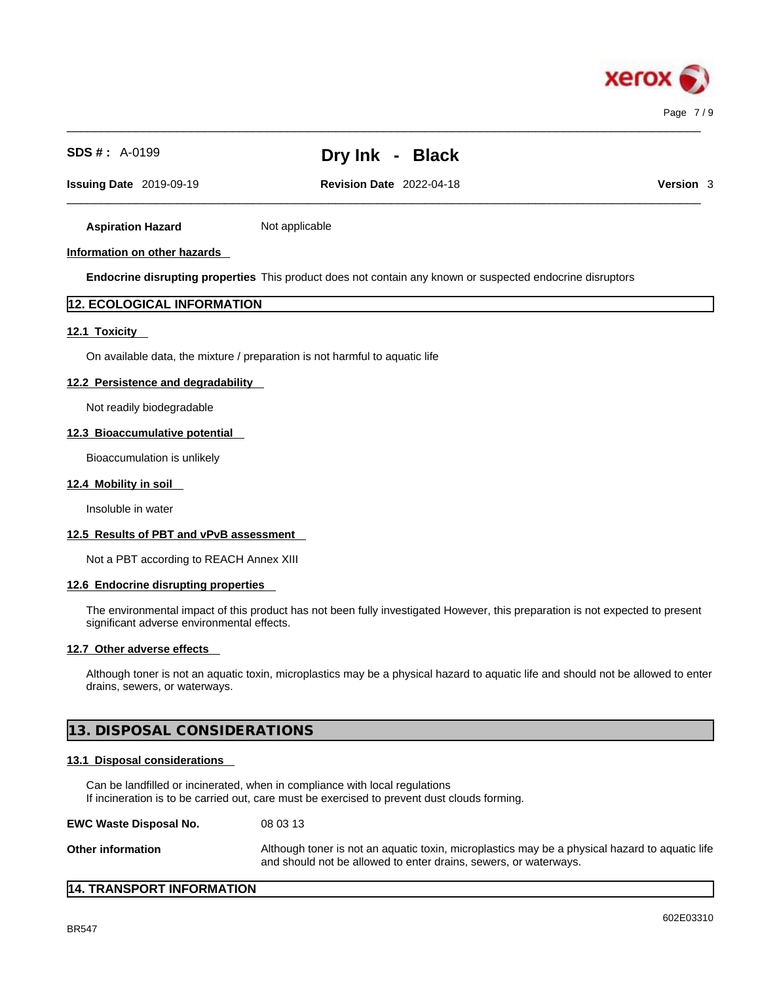

 $\_$  ,  $\_$  ,  $\_$  ,  $\_$  ,  $\_$  ,  $\_$  ,  $\_$  ,  $\_$  ,  $\_$  ,  $\_$  ,  $\_$  ,  $\_$  ,  $\_$  ,  $\_$  ,  $\_$  ,  $\_$  ,  $\_$  ,  $\_$  ,  $\_$  ,  $\_$  ,  $\_$  ,  $\_$  ,  $\_$  ,  $\_$  ,  $\_$  ,  $\_$  ,  $\_$  ,  $\_$  ,  $\_$  ,  $\_$  ,  $\_$  ,  $\_$  ,  $\_$  ,  $\_$  ,  $\_$  ,  $\_$  ,  $\_$  ,

 $\_$  ,  $\_$  ,  $\_$  ,  $\_$  ,  $\_$  ,  $\_$  ,  $\_$  ,  $\_$  ,  $\_$  ,  $\_$  ,  $\_$  ,  $\_$  ,  $\_$  ,  $\_$  ,  $\_$  ,  $\_$  ,  $\_$  ,  $\_$  ,  $\_$  ,  $\_$  ,  $\_$  ,  $\_$  ,  $\_$  ,  $\_$  ,  $\_$  ,  $\_$  ,  $\_$  ,  $\_$  ,  $\_$  ,  $\_$  ,  $\_$  ,  $\_$  ,  $\_$  ,  $\_$  ,  $\_$  ,  $\_$  ,  $\_$  , **Issuing Date** 2019-09-19 **Revision Date** 2022-04-18 **Version** 3

**Aspiration Hazard** Not applicable

#### **Information on other hazards**

**Endocrine disrupting properties** This product does not contain any known or suspected endocrine disruptors

#### **12. ECOLOGICAL INFORMATION**

#### **12.1 Toxicity**

On available data, the mixture / preparation is not harmful to aquatic life

#### **12.2 Persistence and degradability**

Not readily biodegradable

#### **12.3 Bioaccumulative potential**

Bioaccumulation is unlikely

#### **12.4 Mobility in soil**

Insoluble in water

#### **12.5 Results of PBT and vPvB assessment**

Not a PBT according to REACH Annex XIII

#### **12.6 Endocrine disrupting properties**

The environmental impact of this product has not been fully investigated However, this preparation is not expected to present significant adverse environmental effects.

#### **12.7 Other adverse effects**

Although toner is not an aquatic toxin, microplastics may be a physical hazard to aquatic life and should not be allowed to enter drains, sewers, or waterways.

#### **13. DISPOSAL CONSIDERATIONS**

#### **13.1 Disposal considerations**

Can be landfilled or incinerated, when in compliance with local regulations If incineration is to be carried out, care must be exercised to prevent dust clouds forming.

**EWC Waste Disposal No.** 08 03 13

**Other information Although toner is not an aquatic toxin, microplastics may be a physical hazard to aquatic life** and should not be allowed to enter drains, sewers, or waterways.

#### **14. TRANSPORT INFORMATION**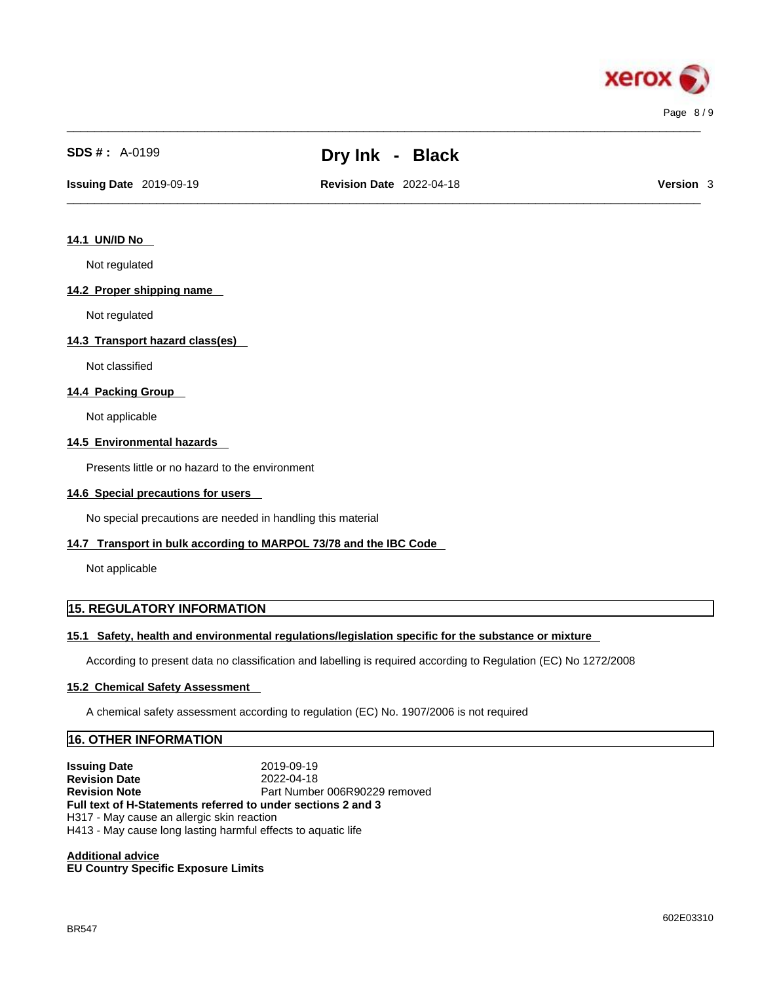

 $\_$  ,  $\_$  ,  $\_$  ,  $\_$  ,  $\_$  ,  $\_$  ,  $\_$  ,  $\_$  ,  $\_$  ,  $\_$  ,  $\_$  ,  $\_$  ,  $\_$  ,  $\_$  ,  $\_$  ,  $\_$  ,  $\_$  ,  $\_$  ,  $\_$  ,  $\_$  ,  $\_$  ,  $\_$  ,  $\_$  ,  $\_$  ,  $\_$  ,  $\_$  ,  $\_$  ,  $\_$  ,  $\_$  ,  $\_$  ,  $\_$  ,  $\_$  ,  $\_$  ,  $\_$  ,  $\_$  ,  $\_$  ,  $\_$  ,

 $\_$  ,  $\_$  ,  $\_$  ,  $\_$  ,  $\_$  ,  $\_$  ,  $\_$  ,  $\_$  ,  $\_$  ,  $\_$  ,  $\_$  ,  $\_$  ,  $\_$  ,  $\_$  ,  $\_$  ,  $\_$  ,  $\_$  ,  $\_$  ,  $\_$  ,  $\_$  ,  $\_$  ,  $\_$  ,  $\_$  ,  $\_$  ,  $\_$  ,  $\_$  ,  $\_$  ,  $\_$  ,  $\_$  ,  $\_$  ,  $\_$  ,  $\_$  ,  $\_$  ,  $\_$  ,  $\_$  ,  $\_$  ,  $\_$  , **Issuing Date** 2019-09-19 **Revision Date** 2022-04-18 **Version** 3

### **14.1 UN/ID No**

Not regulated

#### **14.2 Proper shipping name**

Not regulated

#### **14.3 Transport hazard class(es)**

Not classified

#### **14.4 Packing Group**

Not applicable

#### **14.5 Environmental hazards**

Presents little or no hazard to the environment

#### **14.6 Special precautions for users**

No special precautions are needed in handling this material

#### **14.7 Transport in bulk according to MARPOL 73/78 and the IBC Code**

Not applicable

#### **15. REGULATORY INFORMATION**

#### **15.1 Safety, health and environmental regulations/legislation specific for the substance or mixture**

According to present data no classification and labelling is required according to Regulation (EC) No 1272/2008

#### **15.2 Chemical Safety Assessment**

A chemical safety assessment according to regulation (EC) No. 1907/2006 is not required

#### **16. OTHER INFORMATION**

**Issuing Date** 2019-09-19 **Revision Date** 2022-04-18 **Revision Note Part Number 006R90229 removed Full text of H-Statements referred to undersections 2 and 3** H317 - May cause an allergic skin reaction H413 - May cause long lasting harmful effects to aquatic life

**Additional advice EU Country Specific Exposure Limits**